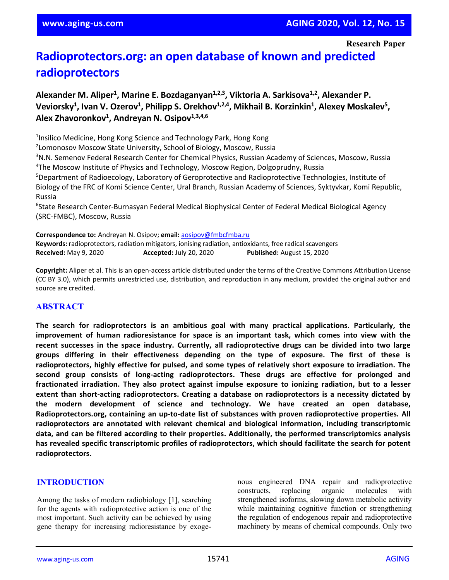# **Radioprotectors.org: an open database of known and predicted radioprotectors**

# Alexander M. Aliper<sup>1</sup>, Marine E. Bozdaganyan<sup>1,2,3</sup>, Viktoria A. Sarkisova<sup>1,2</sup>, Alexander P. Veviorsky<sup>1</sup>, Ivan V. Ozerov<sup>1</sup>, Philipp S. Orekhov<sup>1,2,4</sup>, Mikhail B. Korzinkin<sup>1</sup>, Alexey Moskalev<sup>5</sup>, **Alex Zhavoronkov1 , Andreyan N. Osipov1,3,4,6**

<sup>1</sup>Insilico Medicine, Hong Kong Science and Technology Park, Hong Kong

2 Lomonosov Moscow State University, School of Biology, Moscow, Russia

3 N.N. Semenov Federal Research Center for Chemical Physics, Russian Academy of Sciences, Moscow, Russia 4 The Moscow Institute of Physics and Technology, Moscow Region, Dolgoprudny, Russia

5 Department of Radioecology, Laboratory of Geroprotective and Radioprotective Technologies, Institute of Biology of the FRC of Komi Science Center, Ural Branch, Russian Academy of Sciences, Syktyvkar, Komi Republic, Russia

<sup>6</sup>State Research Center-Burnasyan Federal Medical Biophysical Center of Federal Medical Biological Agency (SRC-FMBC), Moscow, Russia

**Correspondence to:** Andreyan N. Osipov; **email:** [aosipov@fmbcfmba.ru](mailto:aosipov@fmbcfmba.ru) **Keywords:** radioprotectors, radiation mitigators, ionising radiation, antioxidants, free radical scavengers **Received:** May 9, 2020 **Accepted:** July 20, 2020 **Published:** August 15, 2020

**Copyright:** Aliper et al. This is an open-access article distributed under the terms of the Creative Commons Attribution License (CC BY 3.0), which permits unrestricted use, distribution, and reproduction in any medium, provided the original author and source are credited.

# **ABSTRACT**

**The search for radioprotectors is an ambitious goal with many practical applications. Particularly, the improvement of human radioresistance for space is an important task, which comes into view with the recent successes in the space industry. Currently, all radioprotective drugs can be divided into two large groups differing in their effectiveness depending on the type of exposure. The first of these is radioprotectors, highly effective for pulsed, and some types of relatively short exposure to irradiation. The second group consists of long-acting radioprotectors. These drugs are effective for prolonged and fractionated irradiation. They also protect against impulse exposure to ionizing radiation, but to a lesser extent than short-acting radioprotectors. Creating a database on radioprotectors is a necessity dictated by the modern development of science and technology. We have created an open database, Radioprotectors.org, containing an up-to-date list of substances with proven radioprotective properties. All radioprotectors are annotated with relevant chemical and biological information, including transcriptomic data, and can be filtered according to their properties. Additionally, the performed transcriptomics analysis has revealed specific transcriptomic profiles of radioprotectors, which should facilitate the search for potent radioprotectors.**

#### **INTRODUCTION**

Among the tasks of modern radiobiology [1], searching for the agents with radioprotective action is one of the most important. Such activity can be achieved by using gene therapy for increasing radioresistance by exogenous engineered DNA repair and radioprotective constructs, replacing organic molecules with strengthened isoforms, slowing down metabolic activity while maintaining cognitive function or strengthening the regulation of endogenous repair and radioprotective machinery by means of chemical compounds. Only two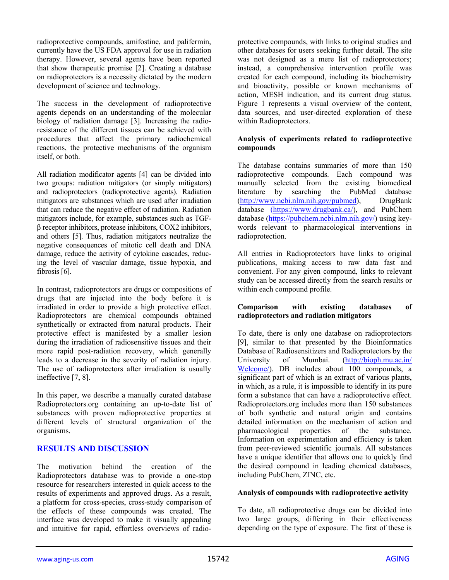radioprotective compounds, amifostine, and palifermin, currently have the US FDA approval for use in radiation therapy. However, several agents have been reported that show therapeutic promise [2]. Creating a database on radioprotectors is a necessity dictated by the modern development of science and technology.

The success in the development of radioprotective agents depends on an understanding of the molecular biology of radiation damage [3]. Increasing the radioresistance of the different tissues can be achieved with procedures that affect the primary radiochemical reactions, the protective mechanisms of the organism itself, or both.

All radiation modificator agents [4] can be divided into two groups: radiation mitigators (or simply mitigators) and radioprotectors (radioprotective agents). Radiation mitigators are substances which are used after irradiation that can reduce the negative effect of radiation. Radiation mitigators include, for example, substances such as TGFβ receptor inhibitors, protease inhibitors, COX2 inhibitors, and others [5]. Thus, radiation mitigators neutralize the negative consequences of mitotic cell death and DNA damage, reduce the activity of cytokine cascades, reducing the level of vascular damage, tissue hypoxia, and fibrosis [6].

In contrast, radioprotectors are drugs or compositions of drugs that are injected into the body before it is irradiated in order to provide a high protective effect. Radioprotectors are chemical compounds obtained synthetically or extracted from natural products. Their protective effect is manifested by a smaller lesion during the irradiation of radiosensitive tissues and their more rapid post-radiation recovery, which generally leads to a decrease in the severity of radiation injury. The use of radioprotectors after irradiation is usually ineffective [7, 8].

In this paper, we describe a manually curated database Radioprotectors.org containing an up-to-date list of substances with proven radioprotective properties at different levels of structural organization of the organisms.

# **RESULTS AND DISCUSSION**

The motivation behind the creation of the Radioprotectors database was to provide a one-stop resource for researchers interested in quick access to the results of experiments and approved drugs. As a result, a platform for cross-species, cross-study comparison of the effects of these compounds was created. The interface was developed to make it visually appealing and intuitive for rapid, effortless overviews of radioprotective compounds, with links to original studies and other databases for users seeking further detail. The site was not designed as a mere list of radioprotectors; instead, a comprehensive intervention profile was created for each compound, including its biochemistry and bioactivity, possible or known mechanisms of action, MESH indication, and its current drug status. Figure 1 represents a visual overview of the content, data sources, and user-directed exploration of these within Radioprotectors.

#### **Analysis of experiments related to radioprotective compounds**

The database contains summaries of more than 150 radioprotective compounds. Each compound was manually selected from the existing biomedical literature by searching the PubMed database (http://www.ncbi.nlm.nih.gov/pubmed), DrugBank database (https://www.drugbank.ca/), and PubChem database (https://pubchem.ncbi.nlm.nih.gov/) using keywords relevant to pharmacological interventions in radioprotection.

All entries in Radioprotectors have links to original publications, making access to raw data fast and convenient. For any given compound, links to relevant study can be accessed directly from the search results or within each compound profile.

#### **Comparison with existing databases of radioprotectors and radiation mitigators**

To date, there is only one database on radioprotectors [9], similar to that presented by the Bioinformatics Database of Radiosensitizers and Radioprotectors by the University of Mumbai. [\(http://bioph.mu.ac.in/](http://bioph.mu.ac.in/Welcome/) [Welcome/\)](http://bioph.mu.ac.in/Welcome/). DB includes about 100 compounds, a significant part of which is an extract of various plants, in which, as a rule, it is impossible to identify in its pure form a substance that can have a radioprotective effect. Radioprotectors.org includes more than 150 substances of both synthetic and natural origin and contains detailed information on the mechanism of action and pharmacological properties of the substance. Information on experimentation and efficiency is taken from peer-reviewed scientific journals. All substances have a unique identifier that allows one to quickly find the desired compound in leading chemical databases, including PubChem, ZINC, etc.

#### **Analysis of compounds with radioprotective activity**

To date, all radioprotective drugs can be divided into two large groups, differing in their effectiveness depending on the type of exposure. The first of these is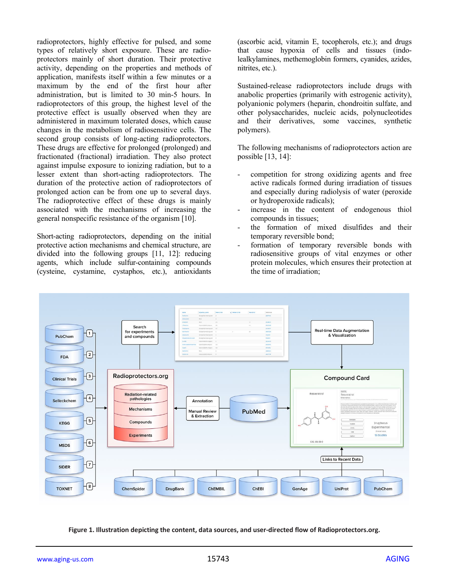radioprotectors, highly effective for pulsed, and some types of relatively short exposure. These are radioprotectors mainly of short duration. Their protective activity, depending on the properties and methods of application, manifests itself within a few minutes or a maximum by the end of the first hour after administration, but is limited to 30 min-5 hours. In radioprotectors of this group, the highest level of the protective effect is usually observed when they are administered in maximum tolerated doses, which cause changes in the metabolism of radiosensitive cells. The second group consists of long-acting radioprotectors. These drugs are effective for prolonged (prolonged) and fractionated (fractional) irradiation. They also protect against impulse exposure to ionizing radiation, but to a lesser extent than short-acting radioprotectors. The duration of the protective action of radioprotectors of prolonged action can be from one up to several days. The radioprotective effect of these drugs is mainly associated with the mechanisms of increasing the general nonspecific resistance of the organism [10].

Short-acting radioprotectors, depending on the initial protective action mechanisms and chemical structure, are divided into the following groups [11, 12]: reducing agents, which include sulfur-containing compounds (cysteine, cystamine, cystaphos, etc.), antioxidants

(ascorbic acid, vitamin E, tocopherols, etc.); and drugs that cause hypoxia of cells and tissues (indolealkylamines, methemoglobin formers, cyanides, azides, nitrites, etc.).

Sustained-release radioprotectors include drugs with anabolic properties (primarily with estrogenic activity), polyanionic polymers (heparin, chondroitin sulfate, and other polysaccharides, nucleic acids, polynucleotides and their derivatives, some vaccines, synthetic polymers).

The following mechanisms of radioprotectors action are possible [13, 14]:

- competition for strong oxidizing agents and free active radicals formed during irradiation of tissues and especially during radiolysis of water (peroxide or hydroperoxide radicals);
- increase in the content of endogenous thiol compounds in tissues;
- the formation of mixed disulfides and their temporary reversible bond;
- formation of temporary reversible bonds with radiosensitive groups of vital enzymes or other protein molecules, which ensures their protection at the time of irradiation;



**Figure 1. Illustration depicting the content, data sources, and user-directed flow of Radioprotectors.org.**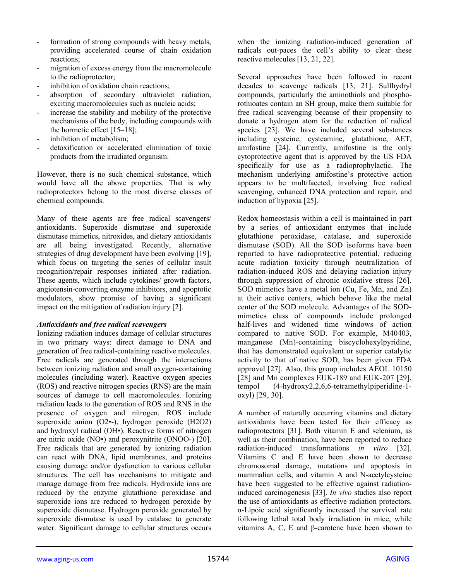- formation of strong compounds with heavy metals, providing accelerated course of chain oxidation reactions;
- migration of excess energy from the macromolecule to the radioprotector;
- inhibition of oxidation chain reactions;
- absorption of secondary ultraviolet radiation, exciting macromolecules such as nucleic acids;
- increase the stability and mobility of the protective mechanisms of the body, including compounds with the hormetic effect [15–18];
- inhibition of metabolism:
- detoxification or accelerated elimination of toxic products from the irradiated organism.

However, there is no such chemical substance, which would have all the above properties. That is why radioprotectors belong to the most diverse classes of chemical compounds.

Many of these agents are free radical scavengers/ antioxidants. Superoxide dismutase and superoxide dismutase mimetics, nitroxides, and dietary antioxidants are all being investigated. Recently, alternative strategies of drug development have been evolving [19], which focus on targeting the series of cellular insult recognition/repair responses initiated after radiation. These agents, which include cytokines/ growth factors, angiotensin-converting enzyme inhibitors, and apoptotic modulators, show promise of having a significant impact on the mitigation of radiation injury [2].

#### *Antioxidants and free radical scavengers*

Ionizing radiation induces damage of cellular structures in two primary ways: direct damage to DNA and generation of free radical-containing reactive molecules. Free radicals are generated through the interactions between ionizing radiation and small oxygen-containing molecules (including water). Reactive oxygen species (ROS) and reactive nitrogen species (RNS) are the main sources of damage to cell macromolecules. Ionizing radiation leads to the generation of ROS and RNS in the presence of oxygen and nitrogen. ROS include superoxide anion (O2•-), hydrogen peroxide (H2O2) and hydroxyl radical (OH•). Reactive forms of nitrogen are nitric oxide (NO•) and peroxynitrite (ONOO-) [20]. Free radicals that are generated by ionizing radiation can react with DNA, lipid membranes, and proteins causing damage and/or dysfunction to various cellular structures. The cell has mechanisms to mitigate and manage damage from free radicals. Hydroxide ions are reduced by the enzyme glutathione peroxidase and superoxide ions are reduced to hydrogen peroxide by superoxide dismutase. Hydrogen peroxide generated by superoxide dismutase is used by catalase to generate water. Significant damage to cellular structures occurs

when the ionizing radiation-induced generation of radicals out-paces the cell's ability to clear these reactive molecules [13, 21, 22].

Several approaches have been followed in recent decades to scavenge radicals [13, 21]. Sulfhydryl compounds, particularly the aminothiols and phosphorothioates contain an SH group, make them suitable for free radical scavenging because of their propensity to donate a hydrogen atom for the reduction of radical species [23]. We have included several substances including cysteine, cysteamine, glutathione, AET, amifostine [24]. Currently, amifostine is the only cytoprotective agent that is approved by the US FDA specifically for use as a radioprophylactic. The mechanism underlying amifostine's protective action appears to be multifaceted, involving free radical scavenging, enhanced DNA protection and repair, and induction of hypoxia [25].

Redox homeostasis within a cell is maintained in part by a series of antioxidant enzymes that include glutathione peroxidase, catalase, and superoxide dismutase (SOD). All the SOD isoforms have been reported to have radioprotective potential, reducing acute radiation toxicity through neutralization of radiation-induced ROS and delaying radiation injury through suppression of chronic oxidative stress [26]. SOD mimetics have a metal ion (Cu, Fe, Mn, and Zn) at their active centers, which behave like the metal center of the SOD molecule. Advantages of the SODmimetics class of compounds include prolonged half-lives and widened time windows of action compared to native SOD. For example, M40403, manganese (Mn)-containing biscyclohexylpyridine, that has demonstrated equivalent or superior catalytic activity to that of native SOD, has been given FDA approval [27]. Also, this group includes AEOL 10150 [28] and Mn complexes EUK-189 and EUK-207 [29], tempol (4-hydroxy2,2,6,6-tetramethylpiperidine-1 oxyl) [29, 30].

A number of naturally occurring vitamins and dietary antioxidants have been tested for their efficacy as radioprotectors [31]. Both vitamin E and selenium, as well as their combination, have been reported to reduce radiation-induced transformations *in vitro* [32]. Vitamins C and E have been shown to decrease chromosomal damage, mutations and apoptosis in mammalian cells, and vitamin A and N-acetylcysteine have been suggested to be effective against radiationinduced carcinogenesis [33]. *In vivo* studies also report the use of antioxidants as effective radiation protectors. α-Lipoic acid significantly increased the survival rate following lethal total body irradiation in mice, while vitamins A, C, E and β-carotene have been shown to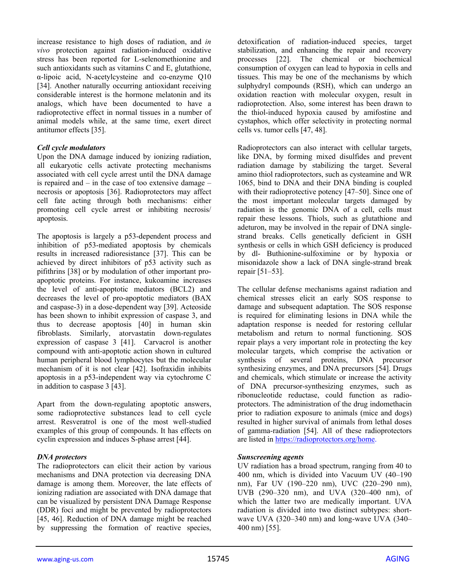increase resistance to high doses of radiation, and *in vivo* protection against radiation-induced oxidative stress has been reported for L-selenomethionine and such antioxidants such as vitamins C and E, glutathione, α-lipoic acid, N-acetylcysteine and co-enzyme Q10 [34]. Another naturally occurring antioxidant receiving considerable interest is the hormone melatonin and its analogs, which have been documented to have a radioprotective effect in normal tissues in a number of animal models while, at the same time, exert direct antitumor effects [35].

#### *Cell cycle modulators*

Upon the DNA damage induced by ionizing radiation, all eukaryotic cells activate protecting mechanisms associated with cell cycle arrest until the DNA damage is repaired and – in the case of too extensive damage – necrosis or apoptosis [36]. Radioprotectors may affect cell fate acting through both mechanisms: either promoting cell cycle arrest or inhibiting necrosis/ apoptosis.

The apoptosis is largely a p53-dependent process and inhibition of p53-mediated apoptosis by chemicals results in increased radioresistance [37]. This can be achieved by direct inhibitors of p53 activity such as pifithrins [38] or by modulation of other important proapoptotic proteins. For instance, kukoamine increases the level of anti-apoptotic mediators (BCL2) and decreases the level of pro-apoptotic mediators (BAX and caspase-3) in a dose-dependent way [39]. Acteoside has been shown to inhibit expression of caspase 3, and thus to decrease apoptosis [40] in human skin fibroblasts. Similarly, atorvastatin down-regulates expression of caspase 3 [41]. Carvacrol is another compound with anti-apoptotic action shown in cultured human peripheral blood lymphocytes but the molecular mechanism of it is not clear [42]. Isofraxidin inhibits apoptosis in a p53-independent way via cytochrome C in addition to caspase 3 [43].

Apart from the down-regulating apoptotic answers, some radioprotective substances lead to cell cycle arrest. Resveratrol is one of the most well-studied examples of this group of compounds. It has effects on cyclin expression and induces S-phase arrest [44].

#### *DNA protectors*

The radioprotectors can elicit their action by various mechanisms and DNA protection via decreasing DNA damage is among them. Moreover, the late effects of ionizing radiation are associated with DNA damage that can be visualized by persistent DNA Damage Response (DDR) foci and might be prevented by radioprotectors [45, 46]. Reduction of DNA damage might be reached by suppressing the formation of reactive species,

detoxification of radiation-induced species, target stabilization, and enhancing the repair and recovery processes [22]. The chemical or biochemical consumption of oxygen can lead to hypoxia in cells and tissues. This may be one of the mechanisms by which sulphydryl compounds (RSH), which can undergo an oxidation reaction with molecular oxygen, result in radioprotection. Also, some interest has been drawn to the thiol-induced hypoxia caused by amifostine and cystaphos, which offer selectivity in protecting normal cells vs. tumor cells [47, 48].

Radioprotectors can also interact with cellular targets, like DNA, by forming mixed disulfides and prevent radiation damage by stabilizing the target. Several amino thiol radioprotectors, such as cysteamine and WR 1065, bind to DNA and their DNA binding is coupled with their radioprotective potency [47–50]. Since one of the most important molecular targets damaged by radiation is the genomic DNA of a cell, cells must repair these lessons. Thiols, such as glutathione and adeturon, may be involved in the repair of DNA singlestrand breaks. Cells genetically deficient in GSH synthesis or cells in which GSH deficiency is produced by dl- Buthionine-sulfoximine or by hypoxia or misonidazole show a lack of DNA single-strand break repair [51–53].

The cellular defense mechanisms against radiation and chemical stresses elicit an early SOS response to damage and subsequent adaptation. The SOS response is required for eliminating lesions in DNA while the adaptation response is needed for restoring cellular metabolism and return to normal functioning. SOS repair plays a very important role in protecting the key molecular targets, which comprise the activation or synthesis of several proteins, DNA precursor synthesizing enzymes, and DNA precursors [54]. Drugs and chemicals, which stimulate or increase the activity of DNA precursor-synthesizing enzymes, such as ribonucleotide reductase, could function as radioprotectors. The administration of the drug indomethacin prior to radiation exposure to animals (mice and dogs) resulted in higher survival of animals from lethal doses of gamma-radiation [54]. All of these radioprotectors are listed in [https://radioprotectors.org/home.](https://radioprotectors.org/home)

#### *Sunscreening agents*

UV radiation has a broad spectrum, ranging from 40 to 400 nm, which is divided into Vacuum UV (40–190 nm), Far UV (190–220 nm), UVC (220–290 nm), UVB (290–320 nm), and UVA (320–400 nm), of which the latter two are medically important. UVA radiation is divided into two distinct subtypes: shortwave UVA (320–340 nm) and long-wave UVA (340– 400 nm) [55].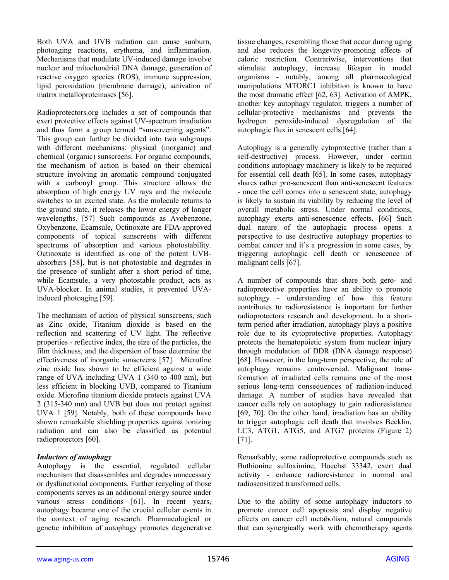Both UVA and UVB radiation can cause sunburn. photoaging reactions, erythema, and inflammation. Mechanisms that modulate UV-induced damage involve nuclear and mitochondrial DNA damage, generation of reactive oxygen species (ROS), immune suppression, lipid peroxidation (membrane damage), activation of matrix metalloproteinases [56].

Radioprotectors.org includes a set of compounds that exert protective effects against UV-spectrum irradiation and thus form a group termed "sunscreening agents". This group can further be divided into two subgroups with different mechanisms: physical (inorganic) and chemical (organic) sunscreens. For organic compounds, the mechanism of action is based on their chemical structure involving an aromatic compound conjugated with a carbonyl group. This structure allows the absorption of high energy UV rays and the molecule switches to an excited state. As the molecule returns to the ground state, it releases the lower energy of longer wavelengths. [57] Such compounds as Avobenzone, Oxybenzone, Ecamsule, Octinoxate are FDA-approved components of topical sunscreens with different spectrums of absorption and various photostability. Octinoxate is identified as one of the potent UVBabsorbers [58], but is not photostable and degrades in the presence of sunlight after a short period of time, while Ecamsule, a very photostable product, acts as UVA-blocker. In animal studies, it prevented UVAinduced photoaging [59].

The mechanism of action of physical sunscreens, such as Zinc oxide, Titanium dioxide is based on the reflection and scattering of UV light. The reflective properties - reflective index, the size of the particles, the film thickness, and the dispersion of base determine the effectiveness of inorganic sunscreens [57]. Microfine zinc oxide has shown to be efficient against a wide range of UVA including UVA 1 (340 to 400 nm), but less efficient in blocking UVB, compared to Titanium oxide. Microfine titanium dioxide protects against UVA 2 (315-340 nm) and UVB but does not protect against UVA 1 [59]. Notably, both of these compounds have shown remarkable shielding properties against ionizing radiation and can also be classified as potential radioprotectors [60].

#### *Inductors of autophagy*

Autophagy is the essential, regulated cellular mechanism that disassembles and degrades unnecessary or dysfunctional components. Further recycling of those components serves as an additional energy source under various stress conditions [61]. In recent years, autophagy became one of the crucial cellular events in the context of aging research. Pharmacological or genetic inhibition of autophagy promotes degenerative

tissue changes, resembling those that occur during aging and also reduces the longevity-promoting effects of caloric restriction. Contrariwise, interventions that stimulate autophagy, increase lifespan in model organisms - notably, among all pharmacological manipulations MTORC1 inhibition is known to have the most dramatic effect [62, 63]. Activation of AMPK, another key autophagy regulator, triggers a number of cellular-protective mechanisms and prevents the hydrogen peroxide-induced dysregulation of the autophagic flux in senescent cells [64].

Autophagy is a generally cytoprotective (rather than a self-destructive) process. However, under certain conditions autophagy machinery is likely to be required for essential cell death [65]. In some cases, autophagy shares rather pro-senescent than anti-senescent features - once the cell comes into a senescent state, autophagy is likely to sustain its viability by reducing the level of overall metabolic stress. Under normal conditions, autophagy exerts anti-senescence effects. [66] Such dual nature of the autophagic process opens a perspective to use destructive autophagy properties to combat cancer and it's a progression in some cases, by triggering autophagic cell death or senescence of malignant cells [67].

A number of compounds that share both gero- and radioprotective properties have an ability to promote autophagy - understanding of how this feature contributes to radioresistance is important for further radioprotectors research and development. In a shortterm period after irradiation, autophagy plays a positive role due to its cytoprotective properties. Autophagy protects the hematopoietic system from nuclear injury through modulation of DDR (DNA damage response) [68]. However, in the long-term perspective, the role of autophagy remains controversial. Malignant transformation of irradiated cells remains one of the most serious long-term consequences of radiation-induced damage. A number of studies have revealed that cancer cells rely on autophagy to gain radioresistance [69, 70]. On the other hand, irradiation has an ability to trigger autophagic cell death that involves Becklin, LC3, ATG1, ATG5, and ATG7 proteins (Figure 2) [71].

Remarkably, some radioprotective compounds such as Buthionine sulfoximine, Hoechst 33342, exert dual activity - enhance radioresistance in normal and radiosensitized transformed cells.

Due to the ability of some autophagy inductors to promote cancer cell apoptosis and display negative effects on cancer cell metabolism, natural compounds that can synergically work with chemotherapy agents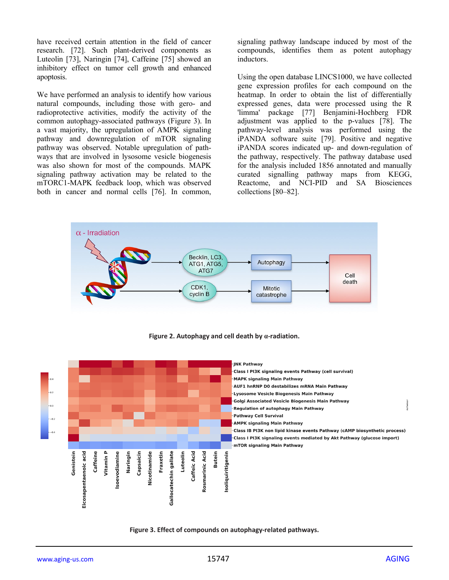have received certain attention in the field of cancer research. [72]. Such plant-derived components as Luteolin [73], Naringin [74], Caffeine [75] showed an inhibitory effect on tumor cell growth and enhanced apoptosis.

We have performed an analysis to identify how various natural compounds, including those with gero- and radioprotective activities, modify the activity of the common autophagy-associated pathways (Figure 3). In a vast majority, the upregulation of AMPK signaling pathway and downregulation of mTOR signaling pathway was observed. Notable upregulation of pathways that are involved in lysosome vesicle biogenesis was also shown for most of the compounds. MAPK signaling pathway activation may be related to the mTORC1-MAPK feedback loop, which was observed both in cancer and normal cells [76]. In common,

signaling pathway landscape induced by most of the compounds, identifies them as potent autophagy inductors.

Using the open database LINCS1000, we have collected gene expression profiles for each compound on the heatmap. In order to obtain the list of differentially expressed genes, data were processed using the R 'limma' package [77] Benjamini-Hochberg FDR adjustment was applied to the p-values [78]. The pathway-level analysis was performed using the iPANDA software suite [79]. Positive and negative iPANDA scores indicated up- and down-regulation of the pathway, respectively. The pathway database used for the analysis included 1856 annotated and manually curated signalling pathway maps from KEGG, Reactome, and NCI-PID and SA Biosciences collections [80–82].



**Figure 2. Autophagy and cell death by α-radiation.**



**Figure 3. Effect of compounds on autophagy-related pathways.**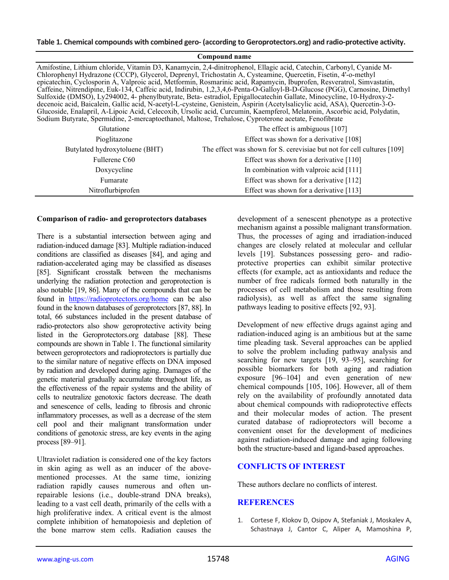| Compound name                                                                                                                                                                                                                                                                                                                                                                                                                                                                                                                                                                                                                                                                                                                                                                                                                                                                                                                                                                           |                                                                        |
|-----------------------------------------------------------------------------------------------------------------------------------------------------------------------------------------------------------------------------------------------------------------------------------------------------------------------------------------------------------------------------------------------------------------------------------------------------------------------------------------------------------------------------------------------------------------------------------------------------------------------------------------------------------------------------------------------------------------------------------------------------------------------------------------------------------------------------------------------------------------------------------------------------------------------------------------------------------------------------------------|------------------------------------------------------------------------|
| Amifostine, Lithium chloride, Vitamin D3, Kanamycin, 2,4-dinitrophenol, Ellagic acid, Catechin, Carbonyl, Cyanide M-<br>Chlorophenyl Hydrazone (CCCP), Glycerol, Deprenyl, Trichostatin A, Cysteamine, Quercetin, Fisetin, 4'-o-methyl<br>epicatechin, Cyclosporin A, Valproic acid, Metformin, Rosmarinic acid, Rapamycin, Ibuprofen, Resveratrol, Simvastatin,<br>Caffeine, Nitrendipine, Euk-134, Caffeic acid, Indirubin, 1,2,3,4,6-Penta-O-Galloyl-B-D-Glucose (PGG), Carnosine, Dimethyl<br>Sulfoxide (DMSO), Ly294002, 4- phenylbutyrate, Beta-estradiol, Epigallocatechin Gallate, Minocycline, 10-Hydroxy-2-<br>decenoic acid, Baicalein, Gallic acid, N-acetyl-L-cysteine, Genistein, Aspirin (Acetylsalicylic acid, ASA), Quercetin-3-O-<br>Glucoside, Enalapril, A-Lipoic Acid, Celecoxib, Ursolic acid, Curcumin, Kaempferol, Melatonin, Ascorbic acid, Polydatin,<br>Sodium Butyrate, Spermidine, 2-mercaptoethanol, Maltose, Trehalose, Cyproterone acetate, Fenofibrate |                                                                        |
| Glutatione                                                                                                                                                                                                                                                                                                                                                                                                                                                                                                                                                                                                                                                                                                                                                                                                                                                                                                                                                                              | The effect is ambiguous $[107]$                                        |
| Pioglitazone                                                                                                                                                                                                                                                                                                                                                                                                                                                                                                                                                                                                                                                                                                                                                                                                                                                                                                                                                                            | Effect was shown for a derivative [108]                                |
| Butylated hydroxytoluene (BHT)                                                                                                                                                                                                                                                                                                                                                                                                                                                                                                                                                                                                                                                                                                                                                                                                                                                                                                                                                          | The effect was shown for S. cerevisiae but not for cell cultures [109] |
| Fullerene C60                                                                                                                                                                                                                                                                                                                                                                                                                                                                                                                                                                                                                                                                                                                                                                                                                                                                                                                                                                           | Effect was shown for a derivative [110]                                |
| Doxycycline                                                                                                                                                                                                                                                                                                                                                                                                                                                                                                                                                                                                                                                                                                                                                                                                                                                                                                                                                                             | In combination with valproic acid [111]                                |
| Fumarate                                                                                                                                                                                                                                                                                                                                                                                                                                                                                                                                                                                                                                                                                                                                                                                                                                                                                                                                                                                | Effect was shown for a derivative [112]                                |
| Nitroflurbiprofen                                                                                                                                                                                                                                                                                                                                                                                                                                                                                                                                                                                                                                                                                                                                                                                                                                                                                                                                                                       | Effect was shown for a derivative [113]                                |

#### **Comparison of radio- and geroprotectors databases**

There is a substantial intersection between aging and radiation-induced damage [83]. Multiple radiation-induced conditions are classified as diseases [84], and aging and radiation-accelerated aging may be classified as diseases [85]. Significant crosstalk between the mechanisms underlying the radiation protection and geroprotection is also notable [19, 86]. Many of the compounds that can be found in <https://radioprotectors.org/home> can be also found in the known databases of geroprotectors [87, 88]. In total, 66 substances included in the present database of radio-protectors also show geroprotective activity being listed in the Geroprotectors.org database [88]. These compounds are shown in Table 1. The functional similarity between geroprotectors and radioprotectors is partially due to the similar nature of negative effects on DNA imposed by radiation and developed during aging. Damages of the genetic material gradually accumulate throughout life, as the effectiveness of the repair systems and the ability of cells to neutralize genotoxic factors decrease. The death and senescence of cells, leading to fibrosis and chronic inflammatory processes, as well as a decrease of the stem cell pool and their malignant transformation under conditions of genotoxic stress, are key events in the aging process [89–91].

Ultraviolet radiation is considered one of the key factors in skin aging as well as an inducer of the abovementioned processes. At the same time, ionizing radiation rapidly causes numerous and often unrepairable lesions (i.e., double-strand DNA breaks), leading to a vast cell death, primarily of the cells with a high proliferative index. A critical event is the almost complete inhibition of hematopoiesis and depletion of the bone marrow stem cells. Radiation causes the development of a senescent phenotype as a protective mechanism against a possible malignant transformation. Thus, the processes of aging and irradiation-induced changes are closely related at molecular and cellular levels [19]. Substances possessing gero- and radioprotective properties can exhibit similar protective effects (for example, act as antioxidants and reduce the number of free radicals formed both naturally in the processes of cell metabolism and those resulting from radiolysis), as well as affect the same signaling pathways leading to positive effects [92, 93].

Development of new effective drugs against aging and radiation-induced aging is an ambitious but at the same time pleading task. Several approaches can be applied to solve the problem including pathway analysis and searching for new targets [19, 93–95], searching for possible biomarkers for both aging and radiation exposure [96–104] and even generation of new chemical compounds [105, 106]. However, all of them rely on the availability of profoundly annotated data about chemical compounds with radioprotective effects and their molecular modes of action. The present curated database of radioprotectors will become a convenient onset for the development of medicines against radiation-induced damage and aging following both the structure-based and ligand-based approaches.

# **CONFLICTS OF INTEREST**

These authors declare no conflicts of interest.

#### **REFERENCES**

1. Cortese F, Klokov D, Osipov A, Stefaniak J, Moskalev A, Schastnaya J, Cantor C, Aliper A, Mamoshina P,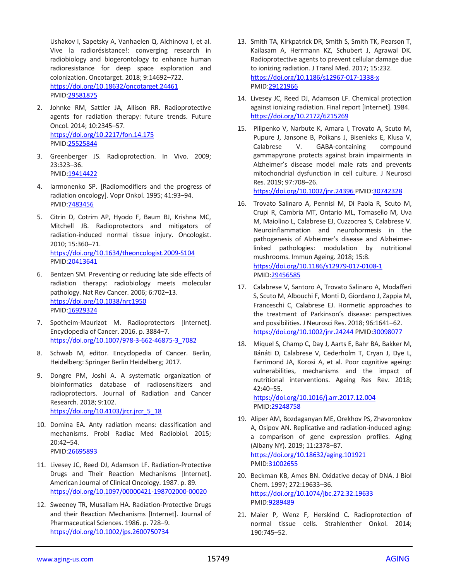Ushakov I, Sapetsky A, Vanhaelen Q, Alchinova I, et al. Vive la radiorésistance!: converging research in radiobiology and biogerontology to enhance human radioresistance for deep space exploration and colonization. Oncotarget. 2018; 9:14692–722. <https://doi.org/10.18632/oncotarget.24461> PMID[:29581875](https://pubmed.ncbi.nlm.nih.gov/29581875)

- 2. Johnke RM, Sattler JA, Allison RR. Radioprotective agents for radiation therapy: future trends. Future Oncol. 2014; 10:2345–57. <https://doi.org/10.2217/fon.14.175> PMID[:25525844](https://pubmed.ncbi.nlm.nih.gov/25525844)
- 3. Greenberger JS. Radioprotection. In Vivo. 2009; 23:323–36. PMID[:19414422](https://pubmed.ncbi.nlm.nih.gov/19414422)
- 4. Iarmonenko SP. [Radiomodifiers and the progress of radiation oncology]. Vopr Onkol. 1995; 41:93–94. PMID[:7483456](https://pubmed.ncbi.nlm.nih.gov/7483456)
- 5. Citrin D, Cotrim AP, Hyodo F, Baum BJ, Krishna MC, Mitchell JB. Radioprotectors and mitigators of radiation-induced normal tissue injury. Oncologist. 2010; 15:360–71. <https://doi.org/10.1634/theoncologist.2009-S104> PMID[:20413641](https://pubmed.ncbi.nlm.nih.gov/20413641)
- 6. Bentzen SM. Preventing or reducing late side effects of radiation therapy: radiobiology meets molecular pathology. Nat Rev Cancer. 2006; 6:702–13. <https://doi.org/10.1038/nrc1950> PMID[:16929324](https://pubmed.ncbi.nlm.nih.gov/16929324)
- 7. Spotheim-Maurizot M. Radioprotectors [Internet]. Encyclopedia of Cancer. 2016. p. 3884–7. [https://doi.org/10.1007/978-3-662-46875-3\\_7082](https://doi.org/10.1007/978-3-662-46875-3_7082)
- 8. Schwab M, editor. Encyclopedia of Cancer. Berlin, Heidelberg: Springer Berlin Heidelberg; 2017.
- 9. Dongre PM, Joshi A. A systematic organization of bioinformatics database of radiosensitizers and radioprotectors. Journal of Radiation and Cancer Research. 2018; 9:102. [https://doi.org/10.4103/jrcr.jrcr\\_5\\_18](https://doi.org/10.4103/jrcr.jrcr_5_18)
- 10. Domina EA. Anty radiation means: classification and mechanisms. Probl Radiac Med Radiobiol. 2015; 20:42–54. PMID[:26695893](https://pubmed.ncbi.nlm.nih.gov/26695893)
- 11. Livesey JC, Reed DJ, Adamson LF. Radiation-Protective Drugs and Their Reaction Mechanisms [Internet]. American Journal of Clinical Oncology. 1987. p. 89. <https://doi.org/10.1097/00000421-198702000-00020>
- 12. Sweeney TR, Musallam HA. Radiation-Protective Drugs and their Reaction Mechanisms [Internet]. Journal of Pharmaceutical Sciences. 1986. p. 728–9. <https://doi.org/10.1002/jps.2600750734>
- 13. Smith TA, Kirkpatrick DR, Smith S, Smith TK, Pearson T, Kailasam A, Herrmann KZ, Schubert J, Agrawal DK. Radioprotective agents to prevent cellular damage due to ionizing radiation. J Transl Med. 2017; 15:232. <https://doi.org/10.1186/s12967-017-1338-x> PMID[:29121966](https://pubmed.ncbi.nlm.nih.gov/29121966)
- 14. Livesey JC, Reed DJ, Adamson LF. Chemical protection against ionizing radiation. Final report [Internet]. 1984. <https://doi.org/10.2172/6215269>
- 15. Pilipenko V, Narbute K, Amara I, Trovato A, Scuto M, Pupure J, Jansone B, Poikans J, Bisenieks E, Klusa V, Calabrese V. GABA-containing compound gammapyrone protects against brain impairments in Alzheimer's disease model male rats and prevents mitochondrial dysfunction in cell culture. J Neurosci Res. 2019; 97:708–26.

<https://doi.org/10.1002/jnr.24396> PMID[:30742328](https://pubmed.ncbi.nlm.nih.gov/30742328)

- 16. Trovato Salinaro A, Pennisi M, Di Paola R, Scuto M, Crupi R, Cambria MT, Ontario ML, Tomasello M, Uva M, Maiolino L, Calabrese EJ, Cuzzocrea S, Calabrese V. Neuroinflammation and neurohormesis in the pathogenesis of Alzheimer's disease and Alzheimerlinked pathologies: modulation by nutritional mushrooms. Immun Ageing. 2018; 15:8. <https://doi.org/10.1186/s12979-017-0108-1> PMID[:29456585](https://pubmed.ncbi.nlm.nih.gov/29456585)
- 17. Calabrese V, Santoro A, Trovato Salinaro A, Modafferi S, Scuto M, Albouchi F, Monti D, Giordano J, Zappia M, Franceschi C, Calabrese EJ. Hormetic approaches to the treatment of Parkinson's disease: perspectives and possibilities. J Neurosci Res. 2018; 96:1641–62. <https://doi.org/10.1002/jnr.24244> PMID[:30098077](https://pubmed.ncbi.nlm.nih.gov/30098077)
- 18. Miquel S, Champ C, Day J, Aarts E, Bahr BA, Bakker M, Bánáti D, Calabrese V, Cederholm T, Cryan J, Dye L, Farrimond JA, Korosi A, et al. Poor cognitive ageing: vulnerabilities, mechanisms and the impact of nutritional interventions. Ageing Res Rev. 2018; 42:40–55. <https://doi.org/10.1016/j.arr.2017.12.004>

PMID[:29248758](https://pubmed.ncbi.nlm.nih.gov/29248758)

- 19. Aliper AM, Bozdaganyan ME, Orekhov PS, Zhavoronkov A, Osipov AN. Replicative and radiation-induced aging: a comparison of gene expression profiles. Aging (Albany NY). 2019; 11:2378–87. <https://doi.org/10.18632/aging.101921> PMID[:31002655](https://pubmed.ncbi.nlm.nih.gov/31002655)
- 20. Beckman KB, Ames BN. Oxidative decay of DNA. J Biol Chem. 1997; 272:19633–36. <https://doi.org/10.1074/jbc.272.32.19633> PMID[:9289489](https://pubmed.ncbi.nlm.nih.gov/9289489)
- 21. Maier P, Wenz F, Herskind C. Radioprotection of normal tissue cells. Strahlenther Onkol. 2014; 190:745–52.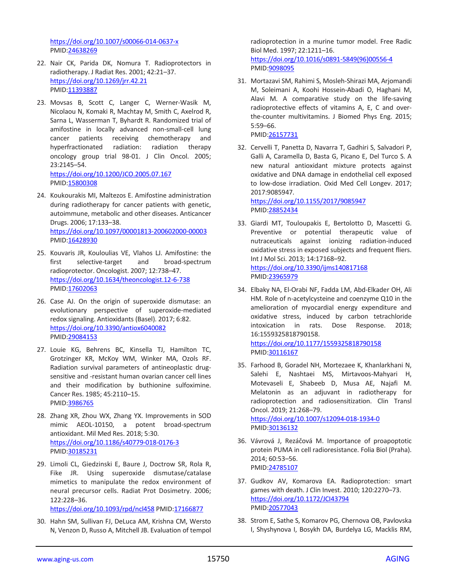<https://doi.org/10.1007/s00066-014-0637-x> PMID[:24638269](https://pubmed.ncbi.nlm.nih.gov/24638269)

- 22. Nair CK, Parida DK, Nomura T. Radioprotectors in radiotherapy. J Radiat Res. 2001; 42:21–37. <https://doi.org/10.1269/jrr.42.21> PMID[:11393887](https://pubmed.ncbi.nlm.nih.gov/11393887)
- 23. Movsas B, Scott C, Langer C, Werner-Wasik M, Nicolaou N, Komaki R, Machtay M, Smith C, Axelrod R, Sarna L, Wasserman T, Byhardt R. Randomized trial of amifostine in locally advanced non-small-cell lung cancer patients receiving chemotherapy and hyperfractionated radiation: radiation therapy oncology group trial 98-01. J Clin Oncol. 2005; 23:2145–54. <https://doi.org/10.1200/JCO.2005.07.167> PMID[:15800308](https://pubmed.ncbi.nlm.nih.gov/15800308)
- 24. Koukourakis MI, Maltezos E. Amifostine administration during radiotherapy for cancer patients with genetic, autoimmune, metabolic and other diseases. Anticancer Drugs. 2006; 17:133–38. <https://doi.org/10.1097/00001813-200602000-00003> PMID[:16428930](https://pubmed.ncbi.nlm.nih.gov/16428930)
- 25. Kouvaris JR, Kouloulias VE, Vlahos LJ. Amifostine: the first selective-target and broad-spectrum radioprotector. Oncologist. 2007; 12:738–47. <https://doi.org/10.1634/theoncologist.12-6-738> PMID[:17602063](https://pubmed.ncbi.nlm.nih.gov/17602063)
- 26. Case AJ. On the origin of superoxide dismutase: an evolutionary perspective of superoxide-mediated redox signaling. Antioxidants (Basel). 2017; 6:82. <https://doi.org/10.3390/antiox6040082> PMID[:29084153](https://pubmed.ncbi.nlm.nih.gov/29084153)
- 27. Louie KG, Behrens BC, Kinsella TJ, Hamilton TC, Grotzinger KR, McKoy WM, Winker MA, Ozols RF. Radiation survival parameters of antineoplastic drugsensitive and -resistant human ovarian cancer cell lines and their modification by buthionine sulfoximine. Cancer Res. 1985; 45:2110–15. PMID[:3986765](https://pubmed.ncbi.nlm.nih.gov/3986765)
- 28. Zhang XR, Zhou WX, Zhang YX. Improvements in SOD mimic AEOL-10150, a potent broad-spectrum antioxidant. Mil Med Res. 2018; 5:30. <https://doi.org/10.1186/s40779-018-0176-3> PMID[:30185231](https://pubmed.ncbi.nlm.nih.gov/30185231)
- 29. Limoli CL, Giedzinski E, Baure J, Doctrow SR, Rola R, Fike JR. Using superoxide dismutase/catalase mimetics to manipulate the redox environment of neural precursor cells. Radiat Prot Dosimetry. 2006; 122:228–36. <https://doi.org/10.1093/rpd/ncl458> PMID[:17166877](https://pubmed.ncbi.nlm.nih.gov/17166877)
- 30. Hahn SM, Sullivan FJ, DeLuca AM, Krishna CM, Wersto N, Venzon D, Russo A, Mitchell JB. Evaluation of tempol

radioprotection in a murine tumor model. Free Radic Biol Med. 1997; 22:1211–16. [https://doi.org/10.1016/s0891-5849\(96\)00556-4](https://doi.org/10.1016/s0891-5849(96)00556-4) PMID[:9098095](https://pubmed.ncbi.nlm.nih.gov/9098095)

- 31. Mortazavi SM, Rahimi S, Mosleh-Shirazi MA, Arjomandi M, Soleimani A, Koohi Hossein-Abadi O, Haghani M, Alavi M. A comparative study on the life-saving radioprotective effects of vitamins A, E, C and overthe-counter multivitamins. J Biomed Phys Eng. 2015; 5:59–66. PMID[:26157731](https://pubmed.ncbi.nlm.nih.gov/26157731)
- 32. Cervelli T, Panetta D, Navarra T, Gadhiri S, Salvadori P, Galli A, Caramella D, Basta G, Picano E, Del Turco S. A new natural antioxidant mixture protects against oxidative and DNA damage in endothelial cell exposed to low-dose irradiation. Oxid Med Cell Longev. 2017; 2017:9085947.

<https://doi.org/10.1155/2017/9085947> PMID[:28852434](https://pubmed.ncbi.nlm.nih.gov/28852434)

- 33. Giardi MT, Touloupakis E, Bertolotto D, Mascetti G. Preventive or potential therapeutic value of nutraceuticals against ionizing radiation-induced oxidative stress in exposed subjects and frequent fliers. Int J Mol Sci. 2013; 14:17168–92. <https://doi.org/10.3390/ijms140817168> PMID[:23965979](https://pubmed.ncbi.nlm.nih.gov/23965979)
- 34. Elbaky NA, El-Orabi NF, Fadda LM, Abd-Elkader OH, Ali HM. Role of n-acetylcysteine and coenzyme Q10 in the amelioration of myocardial energy expenditure and oxidative stress, induced by carbon tetrachloride intoxication in rats. Dose Response. 2018; 16:1559325818790158. <https://doi.org/10.1177/1559325818790158>
	- PMID[:30116167](https://pubmed.ncbi.nlm.nih.gov/30116167)
- 35. Farhood B, Goradel NH, Mortezaee K, Khanlarkhani N, Salehi E, Nashtaei MS, Mirtavoos-Mahyari H, Motevaseli E, Shabeeb D, Musa AE, Najafi M. Melatonin as an adjuvant in radiotherapy for radioprotection and radiosensitization. Clin Transl Oncol. 2019; 21:268–79. <https://doi.org/10.1007/s12094-018-1934-0> PMID[:30136132](https://pubmed.ncbi.nlm.nih.gov/30136132)
- 36. Vávrová J, Rezáčová M. Importance of proapoptotic protein PUMA in cell radioresistance. Folia Biol (Praha). 2014; 60:53–56. PMID[:24785107](https://pubmed.ncbi.nlm.nih.gov/24785107)
- 37. Gudkov AV, Komarova EA. Radioprotection: smart games with death. J Clin Invest. 2010; 120:2270–73. <https://doi.org/10.1172/JCI43794> PMID[:20577043](https://pubmed.ncbi.nlm.nih.gov/20577043)
- 38. Strom E, Sathe S, Komarov PG, Chernova OB, Pavlovska I, Shyshynova I, Bosykh DA, Burdelya LG, Macklis RM,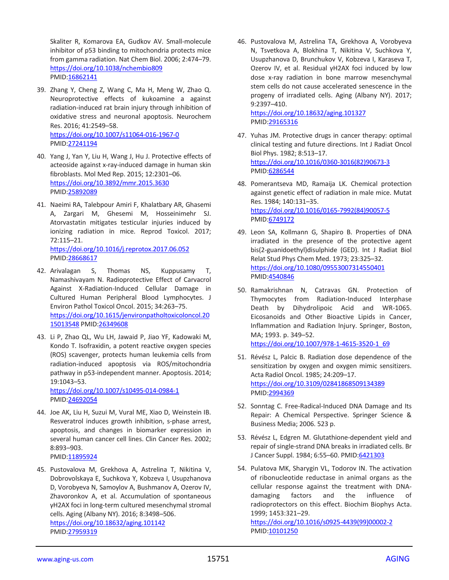Skaliter R, Komarova EA, Gudkov AV. Small-molecule inhibitor of p53 binding to mitochondria protects mice from gamma radiation. Nat Chem Biol. 2006; 2:474–79. <https://doi.org/10.1038/nchembio809> PMID[:16862141](https://pubmed.ncbi.nlm.nih.gov/16862141)

- 39. Zhang Y, Cheng Z, Wang C, Ma H, Meng W, Zhao Q. Neuroprotective effects of kukoamine a against radiation-induced rat brain injury through inhibition of oxidative stress and neuronal apoptosis. Neurochem Res. 2016; 41:2549–58. <https://doi.org/10.1007/s11064-016-1967-0> PMID[:27241194](https://pubmed.ncbi.nlm.nih.gov/27241194)
- 40. Yang J, Yan Y, Liu H, Wang J, Hu J. Protective effects of acteoside against x-ray-induced damage in human skin fibroblasts. Mol Med Rep. 2015; 12:2301–06. <https://doi.org/10.3892/mmr.2015.3630> PMID[:25892089](https://pubmed.ncbi.nlm.nih.gov/25892089)
- 41. Naeimi RA, Talebpour Amiri F, Khalatbary AR, Ghasemi A, Zargari M, Ghesemi M, Hosseinimehr SJ. Atorvastatin mitigates testicular injuries induced by ionizing radiation in mice. Reprod Toxicol. 2017; 72:115–21. <https://doi.org/10.1016/j.reprotox.2017.06.052>

PMID[:28668617](https://pubmed.ncbi.nlm.nih.gov/28668617)

- 42. Arivalagan S, Thomas NS, Kuppusamy T, Namashivayam N. Radioprotective Effect of Carvacrol Against X-Radiation-Induced Cellular Damage in Cultured Human Peripheral Blood Lymphocytes. J Environ Pathol Toxicol Oncol. 2015; 34:263–75. [https://doi.org/10.1615/jenvironpatholtoxicoloncol.20](https://doi.org/10.1615/jenvironpatholtoxicoloncol.2015013548) [15013548](https://doi.org/10.1615/jenvironpatholtoxicoloncol.2015013548) PMID[:26349608](https://pubmed.ncbi.nlm.nih.gov/26349608)
- 43. Li P, Zhao QL, Wu LH, Jawaid P, Jiao YF, Kadowaki M, Kondo T. Isofraxidin, a potent reactive oxygen species (ROS) scavenger, protects human leukemia cells from radiation-induced apoptosis via ROS/mitochondria pathway in p53-independent manner. Apoptosis. 2014; 19:1043–53.

<https://doi.org/10.1007/s10495-014-0984-1> PMID[:24692054](https://pubmed.ncbi.nlm.nih.gov/24692054)

- 44. Joe AK, Liu H, Suzui M, Vural ME, Xiao D, Weinstein IB. Resveratrol induces growth inhibition, s-phase arrest, apoptosis, and changes in biomarker expression in several human cancer cell lines. Clin Cancer Res. 2002; 8:893–903. PMID[:11895924](https://pubmed.ncbi.nlm.nih.gov/11895924)
- 45. Pustovalova M, Grekhova A, Astrelina Т, Nikitina V, Dobrovolskaya E, Suchkova Y, Kobzeva I, Usupzhanova D, Vorobyeva N, Samoylov A, Bushmanov A, Ozerov IV, Zhavoronkov A, et al. Accumulation of spontaneous γH2AX foci in long-term cultured mesenchymal stromal cells. Aging (Albany NY). 2016; 8:3498–506.

<https://doi.org/10.18632/aging.101142> PMID[:27959319](https://pubmed.ncbi.nlm.nih.gov/27959319)

46. Pustovalova M, Astrelina ТA, Grekhova A, Vorobyeva N, Tsvetkova A, Blokhina T, Nikitina V, Suchkova Y, Usupzhanova D, Brunchukov V, Kobzeva I, Karaseva Т, Ozerov IV, et al. Residual γH2AX foci induced by low dose x-ray radiation in bone marrow mesenchymal stem cells do not cause accelerated senescence in the progeny of irradiated cells. Aging (Albany NY). 2017; 9:2397–410.

<https://doi.org/10.18632/aging.101327> PMID[:29165316](https://pubmed.ncbi.nlm.nih.gov/29165316)

- 47. Yuhas JM. Protective drugs in cancer therapy: optimal clinical testing and future directions. Int J Radiat Oncol Biol Phys. 1982; 8:513–17. [https://doi.org/10.1016/0360-3016\(82\)90673-3](https://doi.org/10.1016/0360-3016(82)90673-3) PMID[:6286544](https://pubmed.ncbi.nlm.nih.gov/6286544)
- 48. Pomerantseva MD, Ramaija LK. Chemical protection against genetic effect of radiation in male mice. Mutat Res. 1984; 140:131–35. [https://doi.org/10.1016/0165-7992\(84\)90057-5](https://doi.org/10.1016/0165-7992(84)90057-5) PMID[:6749172](https://pubmed.ncbi.nlm.nih.gov/6749172)
- 49. Leon SA, Kollmann G, Shapiro B. Properties of DNA irradiated in the presence of the protective agent bis(2-guanidoethyl)disulphide (GED). Int J Radiat Biol Relat Stud Phys Chem Med. 1973; 23:325–32. <https://doi.org/10.1080/09553007314550401> PMID[:4540846](https://pubmed.ncbi.nlm.nih.gov/4540846)
- 50. Ramakrishnan N, Catravas GN. Protection of Thymocytes from Radiation-Induced Interphase Death by Dihydrolipoic Acid and WR-1065. Eicosanoids and Other Bioactive Lipids in Cancer, Inflammation and Radiation Injury. Springer, Boston, MA; 1993. p. 349–52. [https://doi.org/10.1007/978-1-4615-3520-1\\_69](https://doi.org/10.1007/978-1-4615-3520-1_69)
- 51. Révész L, Palcic B. Radiation dose dependence of the sensitization by oxygen and oxygen mimic sensitizers. Acta Radiol Oncol. 1985; 24:209–17. <https://doi.org/10.3109/02841868509134389> PMID[:2994369](https://pubmed.ncbi.nlm.nih.gov/2994369)
- 52. Sonntag C. Free-Radical-Induced DNA Damage and Its Repair: A Chemical Perspective. Springer Science & Business Media; 2006. 523 p.
- 53. Révész L, Edgren M. Glutathione-dependent yield and repair of single-strand DNA breaks in irradiated cells. Br J Cancer Suppl. 1984; 6:55-60. PMID: 6421303
- 54. Pulatova MK, Sharygin VL, Todorov IN. The activation of ribonucleotide reductase in animal organs as the cellular response against the treatment with DNAdamaging factors and the influence of radioprotectors on this effect. Biochim Biophys Acta. 1999; 1453:321–29.

[https://doi.org/10.1016/s0925-4439\(99\)00002-2](https://doi.org/10.1016/s0925-4439(99)00002-2) PMID[:10101250](https://pubmed.ncbi.nlm.nih.gov/10101250)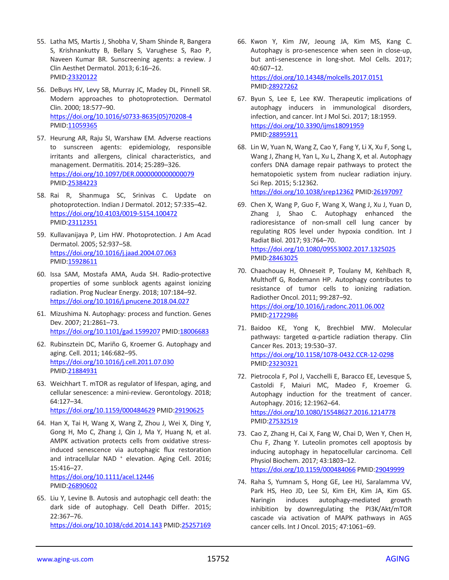- 55. Latha MS, Martis J, Shobha V, Sham Shinde R, Bangera S, Krishnankutty B, Bellary S, Varughese S, Rao P, Naveen Kumar BR. Sunscreening agents: a review. J Clin Aesthet Dermatol. 2013; 6:16–26. PMID[:23320122](https://pubmed.ncbi.nlm.nih.gov/23320122)
- 56. DeBuys HV, Levy SB, Murray JC, Madey DL, Pinnell SR. Modern approaches to photoprotection. Dermatol Clin. 2000; 18:577–90. [https://doi.org/10.1016/s0733-8635\(05\)70208-4](https://doi.org/10.1016/s0733-8635(05)70208-4) PMID[:11059365](https://pubmed.ncbi.nlm.nih.gov/11059365)
- 57. Heurung AR, Raju SI, Warshaw EM. Adverse reactions to sunscreen agents: epidemiology, responsible irritants and allergens, clinical characteristics, and management. Dermatitis. 2014; 25:289–326. <https://doi.org/10.1097/DER.0000000000000079> PMID[:25384223](https://pubmed.ncbi.nlm.nih.gov/25384223)
- 58. Rai R, Shanmuga SC, Srinivas C. Update on photoprotection. Indian J Dermatol. 2012; 57:335–42. <https://doi.org/10.4103/0019-5154.100472> PMID[:23112351](https://pubmed.ncbi.nlm.nih.gov/23112351)
- 59. Kullavanijaya P, Lim HW. Photoprotection. J Am Acad Dermatol. 2005; 52:937–58. <https://doi.org/10.1016/j.jaad.2004.07.063> PMID: 15928611
- 60. Issa SAM, Mostafa AMA, Auda SH. Radio-protective properties of some sunblock agents against ionizing radiation. Prog Nuclear Energy. 2018; 107:184–92. <https://doi.org/10.1016/j.pnucene.2018.04.027>
- 61. Mizushima N. Autophagy: process and function. Genes Dev. 2007; 21:2861–73. <https://doi.org/10.1101/gad.1599207> PMID[:18006683](https://pubmed.ncbi.nlm.nih.gov/18006683)
- 62. Rubinsztein DC, Mariño G, Kroemer G. Autophagy and aging. Cell. 2011; 146:682–95. <https://doi.org/10.1016/j.cell.2011.07.030> PMID[:21884931](https://pubmed.ncbi.nlm.nih.gov/21884931)
- 63. Weichhart T. mTOR as regulator of lifespan, aging, and cellular senescence: a mini-review. Gerontology. 2018; 64:127–34. <https://doi.org/10.1159/000484629> PMID[:29190625](https://pubmed.ncbi.nlm.nih.gov/29190625)
- 64. Han X, Tai H, Wang X, Wang Z, Zhou J, Wei X, Ding Y, Gong H, Mo C, Zhang J, Qin J, Ma Y, Huang N, et al. AMPK activation protects cells from oxidative stressinduced senescence via autophagic flux restoration and intracellular NAD<sup>+</sup> elevation. Aging Cell. 2016; 15:416–27. <https://doi.org/10.1111/acel.12446>

PMID[:26890602](https://pubmed.ncbi.nlm.nih.gov/26890602)

65. Liu Y, Levine B. Autosis and autophagic cell death: the dark side of autophagy. Cell Death Differ. 2015; 22:367–76. <https://doi.org/10.1038/cdd.2014.143> PMID[:25257169](https://pubmed.ncbi.nlm.nih.gov/25257169)

- 66. Kwon Y, Kim JW, Jeoung JA, Kim MS, Kang C. Autophagy is pro-senescence when seen in close-up, but anti-senescence in long-shot. Mol Cells. 2017; 40:607–12. <https://doi.org/10.14348/molcells.2017.0151> PMID[:28927262](https://pubmed.ncbi.nlm.nih.gov/28927262)
- 67. Byun S, Lee E, Lee KW. Therapeutic implications of autophagy inducers in immunological disorders, infection, and cancer. Int J Mol Sci. 2017; 18:1959. <https://doi.org/10.3390/ijms18091959> PMID[:28895911](https://pubmed.ncbi.nlm.nih.gov/28895911)
- 68. Lin W, Yuan N, Wang Z, Cao Y, Fang Y, Li X, Xu F, Song L, Wang J, Zhang H, Yan L, Xu L, Zhang X, et al. Autophagy confers DNA damage repair pathways to protect the hematopoietic system from nuclear radiation injury. Sci Rep. 2015; 5:12362.

<https://doi.org/10.1038/srep12362> PMID[:26197097](https://pubmed.ncbi.nlm.nih.gov/26197097)

- 69. Chen X, Wang P, Guo F, Wang X, Wang J, Xu J, Yuan D, Zhang J, Shao C. Autophagy enhanced the radioresistance of non-small cell lung cancer by regulating ROS level under hypoxia condition. Int J Radiat Biol. 2017; 93:764–70. <https://doi.org/10.1080/09553002.2017.1325025> PMID[:28463025](https://pubmed.ncbi.nlm.nih.gov/28463025)
- 70. Chaachouay H, Ohneseit P, Toulany M, Kehlbach R, Multhoff G, Rodemann HP. Autophagy contributes to resistance of tumor cells to ionizing radiation. Radiother Oncol. 2011; 99:287–92. <https://doi.org/10.1016/j.radonc.2011.06.002> PMID[:21722986](https://pubmed.ncbi.nlm.nih.gov/21722986)
- 71. Baidoo KE, Yong K, Brechbiel MW. Molecular pathways: targeted α-particle radiation therapy. Clin Cancer Res. 2013; 19:530–37. <https://doi.org/10.1158/1078-0432.CCR-12-0298> PMID[:23230321](https://pubmed.ncbi.nlm.nih.gov/23230321)
- 72. Pietrocola F, Pol J, Vacchelli E, Baracco EE, Levesque S, Castoldi F, Maiuri MC, Madeo F, Kroemer G. Autophagy induction for the treatment of cancer. Autophagy. 2016; 12:1962–64. <https://doi.org/10.1080/15548627.2016.1214778> PMID[:27532519](https://pubmed.ncbi.nlm.nih.gov/27532519)
- 73. Cao Z, Zhang H, Cai X, Fang W, Chai D, Wen Y, Chen H, Chu F, Zhang Y. Luteolin promotes cell apoptosis by inducing autophagy in hepatocellular carcinoma. Cell Physiol Biochem. 2017; 43:1803–12. <https://doi.org/10.1159/000484066> PMID[:29049999](https://pubmed.ncbi.nlm.nih.gov/29049999)
- 74. Raha S, Yumnam S, Hong GE, Lee HJ, Saralamma VV, Park HS, Heo JD, Lee SJ, Kim EH, Kim JA, Kim GS. Naringin induces autophagy-mediated growth inhibition by downregulating the PI3K/Akt/mTOR cascade via activation of MAPK pathways in AGS cancer cells. Int J Oncol. 2015; 47:1061–69.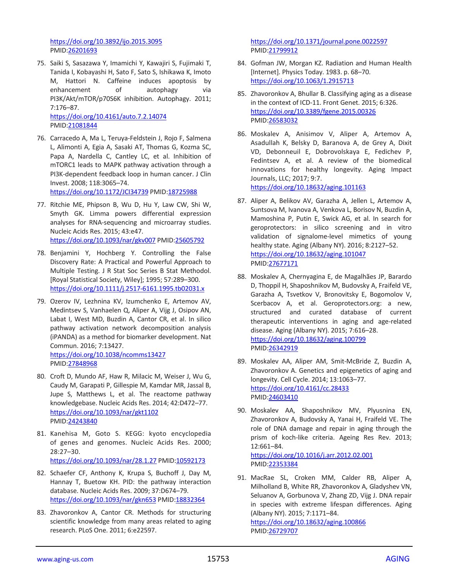<https://doi.org/10.3892/ijo.2015.3095> PMID[:26201693](https://pubmed.ncbi.nlm.nih.gov/26201693)

75. Saiki S, Sasazawa Y, Imamichi Y, Kawajiri S, Fujimaki T, Tanida I, Kobayashi H, Sato F, Sato S, Ishikawa K, Imoto M, Hattori N. Caffeine induces apoptosis by enhancement of autophagy via PI3K/Akt/mTOR/p70S6K inhibition. Autophagy. 2011; 7:176–87.

<https://doi.org/10.4161/auto.7.2.14074> PMID[:21081844](https://pubmed.ncbi.nlm.nih.gov/21081844)

76. Carracedo A, Ma L, Teruya-Feldstein J, Rojo F, Salmena L, Alimonti A, Egia A, Sasaki AT, Thomas G, Kozma SC, Papa A, Nardella C, Cantley LC, et al. Inhibition of mTORC1 leads to MAPK pathway activation through a PI3K-dependent feedback loop in human cancer. J Clin Invest. 2008; 118:3065–74.

<https://doi.org/10.1172/JCI34739> PMID[:18725988](https://pubmed.ncbi.nlm.nih.gov/18725988)

- 77. Ritchie ME, Phipson B, Wu D, Hu Y, Law CW, Shi W, Smyth GK. Limma powers differential expression analyses for RNA-sequencing and microarray studies. Nucleic Acids Res. 2015; 43:e47. <https://doi.org/10.1093/nar/gkv007> PMID[:25605792](https://pubmed.ncbi.nlm.nih.gov/25605792)
- 78. Benjamini Y, Hochberg Y. Controlling the False Discovery Rate: A Practical and Powerful Approach to Multiple Testing. J R Stat Soc Series B Stat Methodol. [Royal Statistical Society, Wiley]; 1995; 57:289–300. <https://doi.org/10.1111/j.2517-6161.1995.tb02031.x>
- 79. Ozerov IV, Lezhnina KV, Izumchenko E, Artemov AV, Medintsev S, Vanhaelen Q, Aliper A, Vijg J, Osipov AN, Labat I, West MD, Buzdin A, Cantor CR, et al. In silico pathway activation network decomposition analysis (iPANDA) as a method for biomarker development. Nat Commun. 2016; 7:13427. <https://doi.org/10.1038/ncomms13427>

PMID[:27848968](https://pubmed.ncbi.nlm.nih.gov/27848968)

- 80. Croft D, Mundo AF, Haw R, Milacic M, Weiser J, Wu G, Caudy M, Garapati P, Gillespie M, Kamdar MR, Jassal B, Jupe S, Matthews L, et al. The reactome pathway knowledgebase. Nucleic Acids Res. 2014; 42:D472–77. <https://doi.org/10.1093/nar/gkt1102> PMID[:24243840](https://pubmed.ncbi.nlm.nih.gov/24243840)
- 81. Kanehisa M, Goto S. KEGG: kyoto encyclopedia of genes and genomes. Nucleic Acids Res. 2000; 28:27–30. <https://doi.org/10.1093/nar/28.1.27> PMID[:10592173](https://pubmed.ncbi.nlm.nih.gov/10592173)
- 82. Schaefer CF, Anthony K, Krupa S, Buchoff J, Day M, Hannay T, Buetow KH. PID: the pathway interaction database. Nucleic Acids Res. 2009; 37:D674–79. <https://doi.org/10.1093/nar/gkn653> PMID[:18832364](https://pubmed.ncbi.nlm.nih.gov/18832364)
- 83. Zhavoronkov A, Cantor CR. Methods for structuring scientific knowledge from many areas related to aging research. PLoS One. 2011; 6:e22597.

<https://doi.org/10.1371/journal.pone.0022597> PMID[:21799912](https://pubmed.ncbi.nlm.nih.gov/21799912)

- 84. Gofman JW, Morgan KZ. Radiation and Human Health [Internet]. Physics Today. 1983. p. 68–70. <https://doi.org/10.1063/1.2915713>
- 85. Zhavoronkov A, Bhullar B. Classifying aging as a disease in the context of ICD-11. Front Genet. 2015; 6:326. <https://doi.org/10.3389/fgene.2015.00326> PMID[:26583032](https://pubmed.ncbi.nlm.nih.gov/26583032)
- 86. Moskalev A, Anisimov V, Aliper A, Artemov A, Asadullah K, Belsky D, Baranova A, de Grey A, Dixit VD, Debonneuil E, Dobrovolskaya E, Fedichev P, Fedintsev A, et al. A review of the biomedical innovations for healthy longevity. Aging Impact Journals, LLC; 2017; 9:7.

<https://doi.org/10.18632/aging.101163>

- 87. Aliper A, Belikov AV, Garazha A, Jellen L, Artemov A, Suntsova M, Ivanova A, Venkova L, Borisov N, Buzdin A, Mamoshina P, Putin E, Swick AG, et al. In search for geroprotectors: in silico screening and in vitro validation of signalome-level mimetics of young healthy state. Aging (Albany NY). 2016; 8:2127–52. <https://doi.org/10.18632/aging.101047> PMID[:27677171](https://pubmed.ncbi.nlm.nih.gov/27677171)
- 88. Moskalev A, Chernyagina E, de Magalhães JP, Barardo D, Thoppil H, Shaposhnikov M, Budovsky A, Fraifeld VE, Garazha A, Tsvetkov V, Bronovitsky E, Bogomolov V, Scerbacov A, et al. Geroprotectors.org: a new, structured and curated database of current therapeutic interventions in aging and age-related disease. Aging (Albany NY). 2015; 7:616–28. <https://doi.org/10.18632/aging.100799> PMID[:26342919](https://pubmed.ncbi.nlm.nih.gov/26342919)
- 89. Moskalev AA, Aliper AM, Smit-McBride Z, Buzdin A, Zhavoronkov A. Genetics and epigenetics of aging and longevity. Cell Cycle. 2014; 13:1063–77. <https://doi.org/10.4161/cc.28433> PMID[:24603410](https://pubmed.ncbi.nlm.nih.gov/24603410)
- 90. Moskalev AA, Shaposhnikov MV, Plyusnina EN, Zhavoronkov A, Budovsky A, Yanai H, Fraifeld VE. The role of DNA damage and repair in aging through the prism of koch-like criteria. Ageing Res Rev. 2013; 12:661–84. <https://doi.org/10.1016/j.arr.2012.02.001>

PMID[:22353384](https://pubmed.ncbi.nlm.nih.gov/22353384)

91. MacRae SL, Croken MM, Calder RB, Aliper A, Milholland B, White RR, Zhavoronkov A, Gladyshev VN, Seluanov A, Gorbunova V, Zhang ZD, Vijg J. DNA repair in species with extreme lifespan differences. Aging (Albany NY). 2015; 7:1171–84. <https://doi.org/10.18632/aging.100866> PMID[:26729707](https://pubmed.ncbi.nlm.nih.gov/26729707)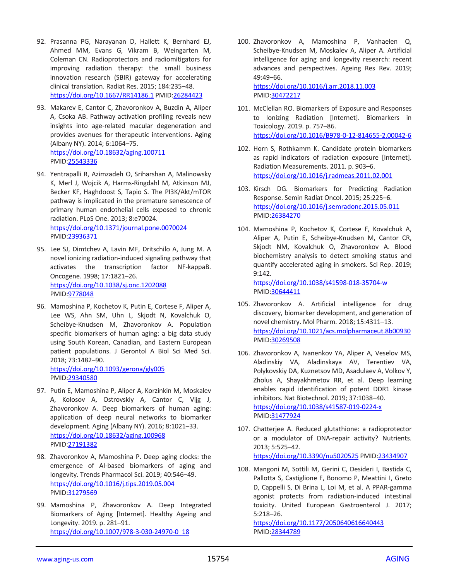- 92. Prasanna PG, Narayanan D, Hallett K, Bernhard EJ, Ahmed MM, Evans G, Vikram B, Weingarten M, Coleman CN. Radioprotectors and radiomitigators for improving radiation therapy: the small business innovation research (SBIR) gateway for accelerating clinical translation. Radiat Res. 2015; 184:235–48. <https://doi.org/10.1667/RR14186.1> PMI[D:26284423](https://pubmed.ncbi.nlm.nih.gov/26284423)
- 93. Makarev E, Cantor C, Zhavoronkov A, Buzdin A, Aliper A, Csoka AB. Pathway activation profiling reveals new insights into age-related macular degeneration and provides avenues for therapeutic interventions. Aging (Albany NY). 2014; 6:1064–75. <https://doi.org/10.18632/aging.100711> PMID[:25543336](https://pubmed.ncbi.nlm.nih.gov/25543336)
- 94. Yentrapalli R, Azimzadeh O, Sriharshan A, Malinowsky K, Merl J, Wojcik A, Harms-Ringdahl M, Atkinson MJ, Becker KF, Haghdoost S, Tapio S. The PI3K/Akt/mTOR pathway is implicated in the premature senescence of primary human endothelial cells exposed to chronic radiation. PLoS One. 2013; 8:e70024. <https://doi.org/10.1371/journal.pone.0070024> PMID[:23936371](https://pubmed.ncbi.nlm.nih.gov/23936371)
- 95. Lee SJ, Dimtchev A, Lavin MF, Dritschilo A, Jung M. A novel ionizing radiation-induced signaling pathway that activates the transcription factor NF-kappaB. Oncogene. 1998; 17:1821–26. <https://doi.org/10.1038/sj.onc.1202088> PMID[:9778048](https://pubmed.ncbi.nlm.nih.gov/9778048)
- 96. Mamoshina P, Kochetov K, Putin E, Cortese F, Aliper A, Lee WS, Ahn SM, Uhn L, Skjodt N, Kovalchuk O, Scheibye-Knudsen M, Zhavoronkov A. Population specific biomarkers of human aging: a big data study using South Korean, Canadian, and Eastern European patient populations. J Gerontol A Biol Sci Med Sci. 2018; 73:1482–90. <https://doi.org/10.1093/gerona/gly005>

PMID[:29340580](https://pubmed.ncbi.nlm.nih.gov/29340580)

- 97. Putin E, Mamoshina P, Aliper A, Korzinkin M, Moskalev A, Kolosov A, Ostrovskiy A, Cantor C, Vijg J, Zhavoronkov A. Deep biomarkers of human aging: application of deep neural networks to biomarker development. Aging (Albany NY). 2016; 8:1021–33. <https://doi.org/10.18632/aging.100968> PMID[:27191382](https://pubmed.ncbi.nlm.nih.gov/27191382)
- 98. Zhavoronkov A, Mamoshina P. Deep aging clocks: the emergence of AI-based biomarkers of aging and longevity. Trends Pharmacol Sci. 2019; 40:546–49. <https://doi.org/10.1016/j.tips.2019.05.004> PMID[:31279569](https://pubmed.ncbi.nlm.nih.gov/31279569)
- 99. Mamoshina P, Zhavoronkov A. Deep Integrated Biomarkers of Aging [Internet]. Healthy Ageing and Longevity. 2019. p. 281–91. [https://doi.org/10.1007/978-3-030-24970-0\\_18](https://doi.org/10.1007/978-3-030-24970-0_18)

100. Zhavoronkov A, Mamoshina P, Vanhaelen Q, Scheibye-Knudsen M, Moskalev A, Aliper A. Artificial intelligence for aging and longevity research: recent advances and perspectives. Ageing Res Rev. 2019; 49:49–66. <https://doi.org/10.1016/j.arr.2018.11.003>

PMID[:30472217](https://pubmed.ncbi.nlm.nih.gov/30472217)

- 101. McClellan RO. Biomarkers of Exposure and Responses to Ionizing Radiation [Internet]. Biomarkers in Toxicology. 2019. p. 757–86. <https://doi.org/10.1016/B978-0-12-814655-2.00042-6>
- 102. Horn S, Rothkamm K. Candidate protein biomarkers as rapid indicators of radiation exposure [Internet]. Radiation Measurements. 2011. p. 903–6. <https://doi.org/10.1016/j.radmeas.2011.02.001>
- 103. Kirsch DG. Biomarkers for Predicting Radiation Response. Semin Radiat Oncol. 2015; 25:225–6. <https://doi.org/10.1016/j.semradonc.2015.05.011> PMID[:26384270](https://pubmed.ncbi.nlm.nih.gov/26384270)
- 104. Mamoshina P, Kochetov K, Cortese F, Kovalchuk A, Aliper A, Putin E, Scheibye-Knudsen M, Cantor CR, Skjodt NM, Kovalchuk O, Zhavoronkov A. Blood biochemistry analysis to detect smoking status and quantify accelerated aging in smokers. Sci Rep. 2019; 9:142. <https://doi.org/10.1038/s41598-018-35704-w>

PMID[:30644411](https://pubmed.ncbi.nlm.nih.gov/30644411)

- 105. Zhavoronkov A. Artificial intelligence for drug discovery, biomarker development, and generation of novel chemistry. Mol Pharm. 2018; 15:4311–13. <https://doi.org/10.1021/acs.molpharmaceut.8b00930> PMID[:30269508](https://pubmed.ncbi.nlm.nih.gov/30269508)
- 106. Zhavoronkov A, Ivanenkov YA, Aliper A, Veselov MS, Aladinskiy VA, Aladinskaya AV, Terentiev VA, Polykovskiy DA, Kuznetsov MD, Asadulaev A, Volkov Y, Zholus A, Shayakhmetov RR, et al. Deep learning enables rapid identification of potent DDR1 kinase inhibitors. Nat Biotechnol. 2019; 37:1038–40. <https://doi.org/10.1038/s41587-019-0224-x> PMID[:31477924](https://pubmed.ncbi.nlm.nih.gov/31477924)
- 107. Chatterjee A. Reduced glutathione: a radioprotector or a modulator of DNA-repair activity? Nutrients. 2013; 5:525–42. <https://doi.org/10.3390/nu5020525> PMID[:23434907](https://pubmed.ncbi.nlm.nih.gov/23434907)
- 108. Mangoni M, Sottili M, Gerini C, Desideri I, Bastida C, Pallotta S, Castiglione F, Bonomo P, Meattini I, Greto D, Cappelli S, Di Brina L, Loi M, et al. A PPAR-gamma agonist protects from radiation-induced intestinal toxicity. United European Gastroenterol J. 2017; 5:218–26.

<https://doi.org/10.1177/2050640616640443> PMID[:28344789](https://pubmed.ncbi.nlm.nih.gov/28344789)